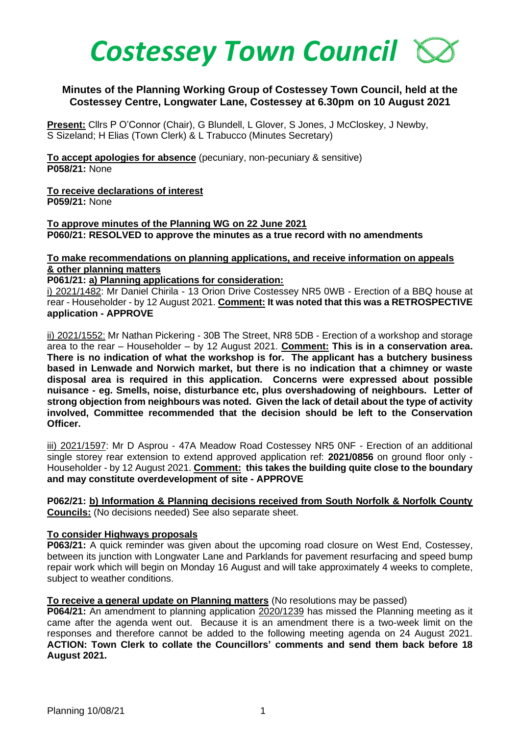

## **Minutes of the Planning Working Group of Costessey Town Council, held at the Costessey Centre, Longwater Lane, Costessey at 6.30pm on 10 August 2021**

**Present:** Cllrs P O'Connor (Chair), G Blundell, L Glover, S Jones, J McCloskey, J Newby, S Sizeland; H Elias (Town Clerk) & L Trabucco (Minutes Secretary)

**To accept apologies for absence** (pecuniary, non-pecuniary & sensitive) **P058/21:** None

**To receive declarations of interest P059/21:** None

**To approve minutes of the Planning WG on 22 June 2021 P060/21: RESOLVED to approve the minutes as a true record with no amendments**

## **To make recommendations on planning applications, and receive information on appeals & other planning matters**

**P061/21: a) Planning applications for consideration:** 

i) 2021/1482: Mr Daniel Chirila - 13 Orion Drive Costessey NR5 0WB - Erection of a BBQ house at rear - Householder - by 12 August 2021. **Comment: It was noted that this was a RETROSPECTIVE application - APPROVE**

ii) 2021/1552: Mr Nathan Pickering - 30B The Street, NR8 5DB - Erection of a workshop and storage area to the rear – Householder – by 12 August 2021. **Comment: This is in a conservation area. There is no indication of what the workshop is for. The applicant has a butchery business based in Lenwade and Norwich market, but there is no indication that a chimney or waste disposal area is required in this application. Concerns were expressed about possible nuisance - eg. Smells, noise, disturbance etc, plus overshadowing of neighbours. Letter of strong objection from neighbours was noted. Given the lack of detail about the type of activity involved, Committee recommended that the decision should be left to the Conservation Officer.**

iii) 2021/1597: Mr D Asprou - 47A Meadow Road Costessey NR5 0NF - Erection of an additional single storey rear extension to extend approved application ref: **2021/0856** on ground floor only - Householder - by 12 August 2021. **Comment: this takes the building quite close to the boundary and may constitute overdevelopment of site - APPROVE**

**P062/21: b) Information & Planning decisions received from South Norfolk & Norfolk County Councils:** (No decisions needed) See also separate sheet.

## **To consider Highways proposals**

**P063/21:** A quick reminder was given about the upcoming road closure on West End, Costessey, between its junction with Longwater Lane and Parklands for pavement resurfacing and speed bump repair work which will begin on Monday 16 August and will take approximately 4 weeks to complete, subject to weather conditions.

## **To receive a general update on Planning matters** (No resolutions may be passed)

**P064/21:** An amendment to planning application 2020/1239 has missed the Planning meeting as it came after the agenda went out. Because it is an amendment there is a two-week limit on the responses and therefore cannot be added to the following meeting agenda on 24 August 2021. **ACTION: Town Clerk to collate the Councillors' comments and send them back before 18 August 2021.**